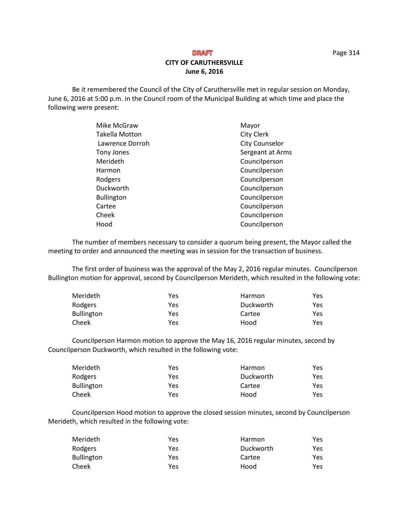# **CITY OF CARUTHERSVILLE June 6, 2016**

Be it remembered the Council of the City of Caruthersville met in regular session on Monday, June 6, 2016 at 5:00 p.m. in the Council room of the Municipal Building at which time and place the following were present:

| Mike McGraw           | Mayor                 |
|-----------------------|-----------------------|
| <b>Takella Motton</b> | <b>City Clerk</b>     |
| Lawrence Dorroh       | <b>City Counselor</b> |
| Tony Jones            | Sergeant at Arms      |
| Merideth              | Councilperson         |
| Harmon                | Councilperson         |
| Rodgers               | Councilperson         |
| Duckworth             | Councilperson         |
| <b>Bullington</b>     | Councilperson         |
| Cartee                | Councilperson         |
| Cheek                 | Councilperson         |
| Hood                  | Councilperson         |

The number of members necessary to consider a quorum being present, the Mayor called the meeting to order and announced the meeting was in session for the transaction of business.

The first order of business was the approval of the May 2, 2016 regular minutes. Councilperson Bullington motion for approval, second by Councilperson Merideth, which resulted in the following vote:

| Merideth          | Yes | Harmon    | Yes  |
|-------------------|-----|-----------|------|
| Rodgers           | Yes | Duckworth | Yes. |
| <b>Bullington</b> | Yes | Cartee    | Yes. |
| Cheek             | Yes | Hood      | Yes  |

Councilperson Harmon motion to approve the May 16, 2016 regular minutes, second by Councilperson Duckworth, which resulted in the following vote:

| Merideth          | Yes | Harmon    | Yes |
|-------------------|-----|-----------|-----|
| Rodgers           | Yes | Duckworth | Yes |
| <b>Bullington</b> | Yes | Cartee    | Yes |
| Cheek             | Yes | Hood      | Yes |

Councilperson Hood motion to approve the closed session minutes, second by Councilperson Merideth, which resulted in the following vote:

| Merideth   | Yes | Harmon    | Yes |
|------------|-----|-----------|-----|
| Rodgers    | Yes | Duckworth | Yes |
| Bullington | Yes | Cartee    | Yes |
| Cheek      | Yes | Hood      | Yes |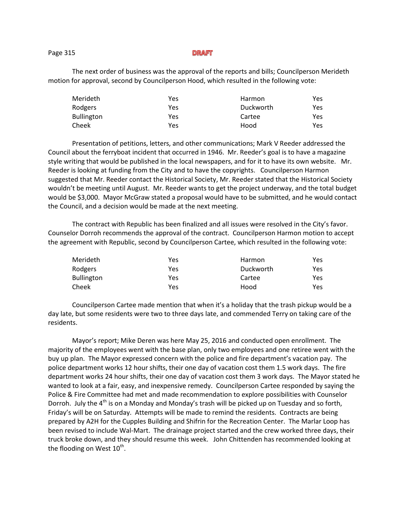#### Page 315

The next order of business was the approval of the reports and bills; Councilperson Merideth motion for approval, second by Councilperson Hood, which resulted in the following vote:

| Merideth   | Yes | Harmon    | Yes  |
|------------|-----|-----------|------|
| Rodgers    | Yes | Duckworth | Yes  |
| Bullington | Yes | Cartee    | Yes. |
| Cheek      | Yes | Hood      | Yes. |

Presentation of petitions, letters, and other communications; Mark V Reeder addressed the Council about the ferryboat incident that occurred in 1946. Mr. Reeder's goal is to have a magazine style writing that would be published in the local newspapers, and for it to have its own website. Mr. Reeder is looking at funding from the City and to have the copyrights. Councilperson Harmon suggested that Mr. Reeder contact the Historical Society, Mr. Reeder stated that the Historical Society wouldn't be meeting until August. Mr. Reeder wants to get the project underway, and the total budget would be \$3,000. Mayor McGraw stated a proposal would have to be submitted, and he would contact the Council, and a decision would be made at the next meeting.

The contract with Republic has been finalized and all issues were resolved in the City's favor. Counselor Dorroh recommends the approval of the contract. Councilperson Harmon motion to accept the agreement with Republic, second by Councilperson Cartee, which resulted in the following vote:

| Merideth          | Yes | Harmon    | Yes |
|-------------------|-----|-----------|-----|
| Rodgers           | Yes | Duckworth | Yes |
| <b>Bullington</b> | Yes | Cartee    | Yes |
| Cheek             | Yes | Hood      | Yes |

Councilperson Cartee made mention that when it's a holiday that the trash pickup would be a day late, but some residents were two to three days late, and commended Terry on taking care of the residents.

Mayor's report; Mike Deren was here May 25, 2016 and conducted open enrollment. The majority of the employees went with the base plan, only two employees and one retiree went with the buy up plan. The Mayor expressed concern with the police and fire department's vacation pay. The police department works 12 hour shifts, their one day of vacation cost them 1.5 work days. The fire department works 24 hour shifts, their one day of vacation cost them 3 work days. The Mayor stated he wanted to look at a fair, easy, and inexpensive remedy. Councilperson Cartee responded by saying the Police & Fire Committee had met and made recommendation to explore possibilities with Counselor Dorroh. July the 4<sup>th</sup> is on a Monday and Monday's trash will be picked up on Tuesday and so forth, Friday's will be on Saturday. Attempts will be made to remind the residents. Contracts are being prepared by A2H for the Cupples Building and Shifrin for the Recreation Center. The Marlar Loop has been revised to include Wal-Mart. The drainage project started and the crew worked three days, their truck broke down, and they should resume this week. John Chittenden has recommended looking at the flooding on West  $10^\text{th}$ .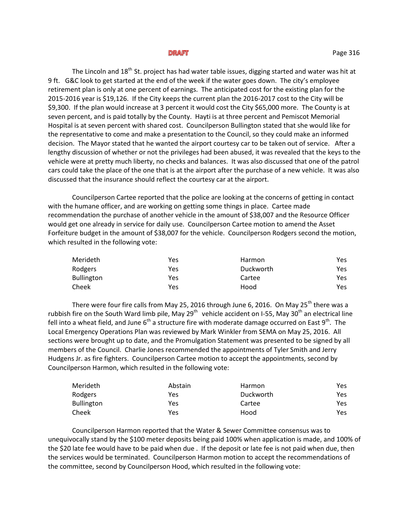The Lincoln and  $18<sup>th</sup>$  St. project has had water table issues, digging started and water was hit at 9 ft. G&C look to get started at the end of the week if the water goes down. The city's employee retirement plan is only at one percent of earnings. The anticipated cost for the existing plan for the 2015-2016 year is \$19,126. If the City keeps the current plan the 2016-2017 cost to the City will be \$9,300. If the plan would increase at 3 percent it would cost the City \$65,000 more. The County is at seven percent, and is paid totally by the County. Hayti is at three percent and Pemiscot Memorial Hospital is at seven percent with shared cost. Councilperson Bullington stated that she would like for the representative to come and make a presentation to the Council, so they could make an informed decision. The Mayor stated that he wanted the airport courtesy car to be taken out of service. After a lengthy discussion of whether or not the privileges had been abused, it was revealed that the keys to the vehicle were at pretty much liberty, no checks and balances. It was also discussed that one of the patrol cars could take the place of the one that is at the airport after the purchase of a new vehicle. It was also discussed that the insurance should reflect the courtesy car at the airport.

Councilperson Cartee reported that the police are looking at the concerns of getting in contact with the humane officer, and are working on getting some things in place. Cartee made recommendation the purchase of another vehicle in the amount of \$38,007 and the Resource Officer would get one already in service for daily use. Councilperson Cartee motion to amend the Asset Forfeiture budget in the amount of \$38,007 for the vehicle. Councilperson Rodgers second the motion, which resulted in the following vote:

| Merideth   | Yes | Harmon    | Yes  |
|------------|-----|-----------|------|
| Rodgers    | Yes | Duckworth | Yes. |
| Bullington | Yes | Cartee    | Yes  |
| Cheek      | Yes | Hood      | Yes  |

There were four fire calls from May 25, 2016 through June 6, 2016. On May 25<sup>th</sup> there was a rubbish fire on the South Ward limb pile, May 29<sup>th</sup> vehicle accident on I-55, May 30<sup>th</sup> an electrical line fell into a wheat field, and June  $6<sup>th</sup>$  a structure fire with moderate damage occurred on East 9<sup>th</sup>. The Local Emergency Operations Plan was reviewed by Mark Winkler from SEMA on May 25, 2016. All sections were brought up to date, and the Promulgation Statement was presented to be signed by all members of the Council. Charlie Jones recommended the appointments of Tyler Smith and Jerry Hudgens Jr. as fire fighters. Councilperson Cartee motion to accept the appointments, second by Councilperson Harmon, which resulted in the following vote:

| Merideth          | Abstain | Harmon    | Yes. |
|-------------------|---------|-----------|------|
| Rodgers           | Yes     | Duckworth | Yes. |
| <b>Bullington</b> | Yes     | Cartee    | Yes. |
| Cheek             | Yes     | Hood      | Yes. |

Councilperson Harmon reported that the Water & Sewer Committee consensus was to unequivocally stand by the \$100 meter deposits being paid 100% when application is made, and 100% of the \$20 late fee would have to be paid when due . If the deposit or late fee is not paid when due, then the services would be terminated. Councilperson Harmon motion to accept the recommendations of the committee, second by Councilperson Hood, which resulted in the following vote: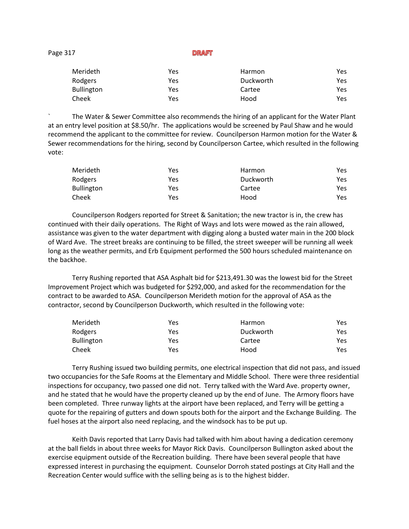Page 317

**DRAFT** 

| Merideth          | Yes | <b>Harmon</b> | Yes  |
|-------------------|-----|---------------|------|
| Rodgers           | Yes | Duckworth     | Yes  |
| <b>Bullington</b> | Yes | Cartee        | Yes  |
| Cheek             | Yes | Hood          | Yes. |

` The Water & Sewer Committee also recommends the hiring of an applicant for the Water Plant at an entry level position at \$8.50/hr. The applications would be screened by Paul Shaw and he would recommend the applicant to the committee for review. Councilperson Harmon motion for the Water & Sewer recommendations for the hiring, second by Councilperson Cartee, which resulted in the following vote:

| Merideth          | Yes | <b>Harmon</b> | Yes |
|-------------------|-----|---------------|-----|
| Rodgers           | Yes | Duckworth     | Yes |
| <b>Bullington</b> | Yes | Cartee        | Yes |
| Cheek             | Yes | Hood          | Yes |

Councilperson Rodgers reported for Street & Sanitation; the new tractor is in, the crew has continued with their daily operations. The Right of Ways and lots were mowed as the rain allowed, assistance was given to the water department with digging along a busted water main in the 200 block of Ward Ave. The street breaks are continuing to be filled, the street sweeper will be running all week long as the weather permits, and Erb Equipment performed the 500 hours scheduled maintenance on the backhoe.

Terry Rushing reported that ASA Asphalt bid for \$213,491.30 was the lowest bid for the Street Improvement Project which was budgeted for \$292,000, and asked for the recommendation for the contract to be awarded to ASA. Councilperson Merideth motion for the approval of ASA as the contractor, second by Councilperson Duckworth, which resulted in the following vote:

| Merideth          | Yes | <b>Harmon</b> | Yes |
|-------------------|-----|---------------|-----|
| Rodgers           | Yes | Duckworth     | Yes |
| <b>Bullington</b> | Yes | Cartee        | Yes |
| Cheek             | Yes | Hood          | Yes |

Terry Rushing issued two building permits, one electrical inspection that did not pass, and issued two occupancies for the Safe Rooms at the Elementary and Middle School. There were three residential inspections for occupancy, two passed one did not. Terry talked with the Ward Ave. property owner, and he stated that he would have the property cleaned up by the end of June. The Armory floors have been completed. Three runway lights at the airport have been replaced, and Terry will be getting a quote for the repairing of gutters and down spouts both for the airport and the Exchange Building. The fuel hoses at the airport also need replacing, and the windsock has to be put up.

Keith Davis reported that Larry Davis had talked with him about having a dedication ceremony at the ball fields in about three weeks for Mayor Rick Davis. Councilperson Bullington asked about the exercise equipment outside of the Recreation building. There have been several people that have expressed interest in purchasing the equipment. Counselor Dorroh stated postings at City Hall and the Recreation Center would suffice with the selling being as is to the highest bidder.